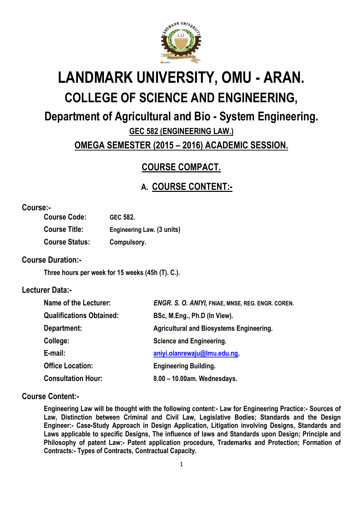

# **LANDMARK UNIVERSITY, OMU - ARAN. COLLEGE OF SCIENCE AND ENGINEERING,**

# **Department of Agricultural and Bio - System Engineering.**

**GEC 582 (ENGINEERING LAW.)**

## **OMEGA SEMESTER (2015 – 2016) ACADEMIC SESSION.**

# **COURSE COMPACT.**

# **A. COURSE CONTENT:-**

#### **Course:-**

| <b>Course Code:</b>   | GEC 582.                   |
|-----------------------|----------------------------|
| <b>Course Title:</b>  | Engineering Law. (3 units) |
| <b>Course Status:</b> | Compulsory.                |

#### **Course Duration:-**

**Three hours per week for 15 weeks (45h (T). C.).**

#### **Lecturer Data:-**

| Name of the Lecturer:           | <b>ENGR. S. O. ANIYI, FNIAE, MNSE, REG. ENGR. COREN.</b> |  |
|---------------------------------|----------------------------------------------------------|--|
| <b>Qualifications Obtained:</b> | BSc, M.Eng., Ph.D (In View).                             |  |
| Department:                     | <b>Agricultural and Biosystems Engineering.</b>          |  |
| College:                        | Science and Engineering.                                 |  |
| E-mail:                         | aniyi.olanrewaju@lmu.edu.ng,                             |  |
| <b>Office Location:</b>         | <b>Engineering Building.</b>                             |  |
| <b>Consultation Hour:</b>       | 8.00 - 10.00am. Wednesdays.                              |  |

#### **Course Content:-**

**Engineering Law will be thought with the following content:- Law for Engineering Practice:- Sources of Law, Distinction between Criminal and Civil Law, Legislative Bodies; Standards and the Design Engineer:- Case-Study Approach in Design Application, Litigation involving Designs, Standards and Laws applicable to specific Designs, The influence of laws and Standards upon Design; Principle and Philosophy of patent Law:- Patent application procedure, Trademarks and Protection; Formation of Contracts:- Types of Contracts, Contractual Capacity.**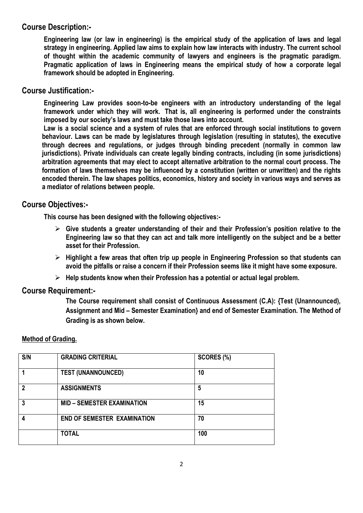#### **Course Description:-**

**Engineering law (or law in engineering) is the [empirical](http://en.wikipedia.org/wiki/Empirical) study of the application of [laws](http://en.wikipedia.org/wiki/Laws) and legal [strategy](http://en.wikipedia.org/wiki/Strategy) in [engineering.](http://en.wikipedia.org/wiki/Engineering) Applied law aims to explain how [law](http://en.wikipedia.org/wiki/Law) interacts with [industry.](http://en.wikipedia.org/wiki/Industry) The curren[t school](http://en.wikipedia.org/wiki/School_of_thought) [of thought](http://en.wikipedia.org/wiki/School_of_thought) within the academic community of [lawyers](http://en.wikipedia.org/wiki/Lawyers) and [engineers](http://en.wikipedia.org/wiki/Engineers) is the [pragmatic](http://en.wiktionary.org/wiki/pragmatic) [paradigm.](http://en.wikipedia.org/wiki/Paradigm) Pragmatic application of [laws](http://en.wikipedia.org/wiki/Laws) in Engineering means the [empirical](http://en.wikipedia.org/wiki/Empirical) study of how a [corporate](http://en.wikipedia.org/wiki/Corporate) legal framework should be adopted in Engineering.**

#### **Course Justification:-**

**Engineering Law provides soon-to-be engineers with an introductory understanding of the legal framework under which they will work. That is, all engineering is performed under the constraints imposed by our society's laws and must take those laws into account.**

**Law is a [social science](http://en.wikipedia.org/wiki/Social_science) and a [system](http://en.wikipedia.org/wiki/System) of rules that are [enforced through social institutions](http://en.wikipedia.org/wiki/Law_enforcement) to govern behaviour. Laws can be made by legislatures through legislation (resulting in [statutes\)](http://en.wikipedia.org/wiki/Statute), the executive through [decrees](http://en.wikipedia.org/wiki/Decree) and [regulations,](http://en.wikipedia.org/wiki/Regulation) or judges through binding [precedent](http://en.wikipedia.org/wiki/Precedent) (normally in [common](http://en.wikipedia.org/wiki/Common_law) law jurisdictions). Private individuals can create legally binding [contracts,](http://en.wikipedia.org/wiki/Contract) including (in some jurisdictions) arbitration agreements that may elect to accept alternative arbitration to the normal court process. The formation of laws themselves may be influenced by a [constitution](http://en.wikipedia.org/wiki/Constitution) (written or unwritten) and the [rights](http://en.wikipedia.org/wiki/Rights) encoded therein. The law shapes [politics,](http://en.wikipedia.org/wiki/Politics) [economics,](http://en.wikipedia.org/wiki/Economics) [history](http://en.wikipedia.org/wiki/History) and [society](http://en.wikipedia.org/wiki/Society) in various ways and serves as a mediator of relations between [people.](http://en.wikipedia.org/wiki/People)**

#### **Course Objectives:-**

**This course has been designed with the following objectives:-**

- **Give students a greater understanding of their and their Profession's position relative to the Engineering law so that they can act and talk more intelligently on the subject and be a better asset for their Profession.**
- **Highlight a few areas that often trip up people in Engineering Profession so that students can avoid the pitfalls or raise a concern if their Profession seems like it might have some exposure.**
- **Help students know when their Profession has a potential or actual legal problem.**

#### **Course Requirement:-**

**The Course requirement shall consist of Continuous Assessment (C.A): {Test (Unannounced), Assignment and Mid – Semester Examination} and end of Semester Examination. The Method of Grading is as shown below.**

#### **Method of Grading.**

| S/N | <b>GRADING CRITERIAL</b>           | SCORES (%) |
|-----|------------------------------------|------------|
|     | <b>TEST (UNANNOUNCED)</b>          | 10         |
| 2   | <b>ASSIGNMENTS</b>                 | 5          |
| 3   | <b>MID - SEMESTER EXAMINATION</b>  | 15         |
|     | <b>END OF SEMESTER EXAMINATION</b> | 70         |
|     | <b>TOTAL</b>                       | 100        |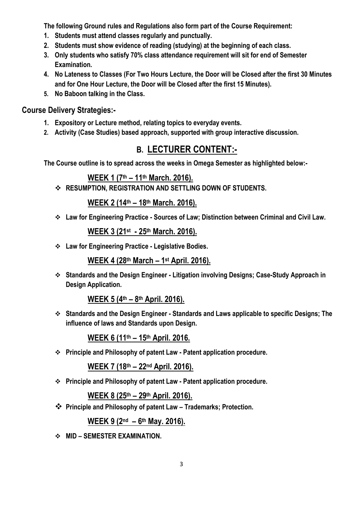**The following Ground rules and Regulations also form part of the Course Requirement:**

- **1. Students must attend classes regularly and punctually.**
- **2. Students must show evidence of reading (studying) at the beginning of each class.**
- **3. Only students who satisfy 70% class attendance requirement will sit for end of Semester Examination.**
- **4. No Lateness to Classes (For Two Hours Lecture, the Door will be Closed after the first 30 Minutes and for One Hour Lecture, the Door will be Closed after the first 15 Minutes).**
- **5. No Baboon talking in the Class.**

#### **Course Delivery Strategies:-**

- **1. Expository or Lecture method, relating topics to everyday events.**
- **2. Activity (Case Studies) based approach, supported with group interactive discussion.**

# **B. LECTURER CONTENT:-**

**The Course outline is to spread across the weeks in Omega Semester as highlighted below:-**

## **WEEK 1 (7 th – 11th March. 2016).**

**RESUMPTION, REGISTRATION AND SETTLING DOWN OF STUDENTS.**

**WEEK 2 (14th – 18th March. 2016).**

**Law for Engineering Practice - Sources of Law; Distinction between Criminal and Civil Law.**

**WEEK 3 (21st - 25th March. 2016).**

**Law for Engineering Practice - Legislative Bodies.**

**WEEK 4 (28th March – 1 st April. 2016).**

 **Standards and the Design Engineer - Litigation involving Designs; Case-Study Approach in Design Application.**

**WEEK 5 (4 th – 8 th April. 2016).**

 **Standards and the Design Engineer - Standards and Laws applicable to specific Designs; The influence of laws and Standards upon Design.**

**WEEK 6 (11th – 15th April. 2016.**

**Principle and Philosophy of patent Law - Patent application procedure.**

**WEEK 7 (18th – 22nd April. 2016).**

**Principle and Philosophy of patent Law - Patent application procedure.**

**WEEK 8 (25th – 29th April. 2016).**

**Principle and Philosophy of patent Law – Trademarks; Protection.**

**WEEK 9 (2 nd – 6 th May. 2016).**

**MID – SEMESTER EXAMINATION.**